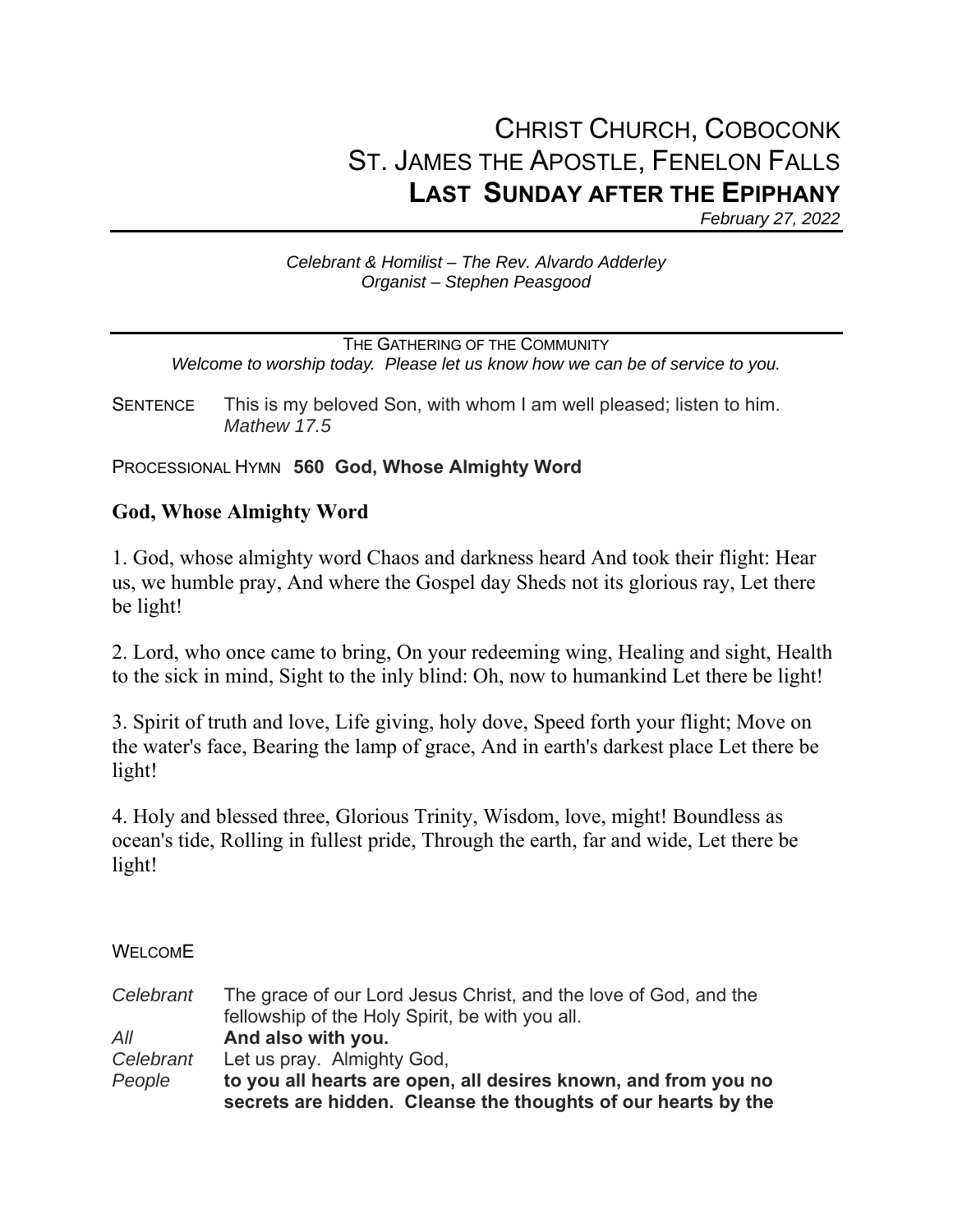# CHRIST CHURCH, COBOCONK ST. JAMES THE APOSTLE, FENELON FALLS **LAST SUNDAY AFTER THE EPIPHANY**

*February 27, 2022*

*Celebrant & Homilist – The Rev. Alvardo Adderley Organist – Stephen Peasgood* 

THE GATHERING OF THE COMMUNITY *Welcome to worship today. Please let us know how we can be of service to you.* 

SENTENCE This is my beloved Son, with whom I am well pleased; listen to him. *Mathew 17.5*

PROCESSIONAL HYMN **560 God, Whose Almighty Word** 

# **God, Whose Almighty Word**

1. God, whose almighty word Chaos and darkness heard And took their flight: Hear us, we humble pray, And where the Gospel day Sheds not its glorious ray, Let there be light!

2. Lord, who once came to bring, On your redeeming wing, Healing and sight, Health to the sick in mind, Sight to the inly blind: Oh, now to humankind Let there be light!

3. Spirit of truth and love, Life giving, holy dove, Speed forth your flight; Move on the water's face, Bearing the lamp of grace, And in earth's darkest place Let there be light!

4. Holy and blessed three, Glorious Trinity, Wisdom, love, might! Boundless as ocean's tide, Rolling in fullest pride, Through the earth, far and wide, Let there be light!

## **WELCOME**

| Celebrant | The grace of our Lord Jesus Christ, and the love of God, and the<br>fellowship of the Holy Spirit, be with you all. |
|-----------|---------------------------------------------------------------------------------------------------------------------|
| All       | And also with you.                                                                                                  |
| Celebrant | Let us pray. Almighty God,                                                                                          |
| People    | to you all hearts are open, all desires known, and from you no                                                      |
|           | secrets are hidden. Cleanse the thoughts of our hearts by the                                                       |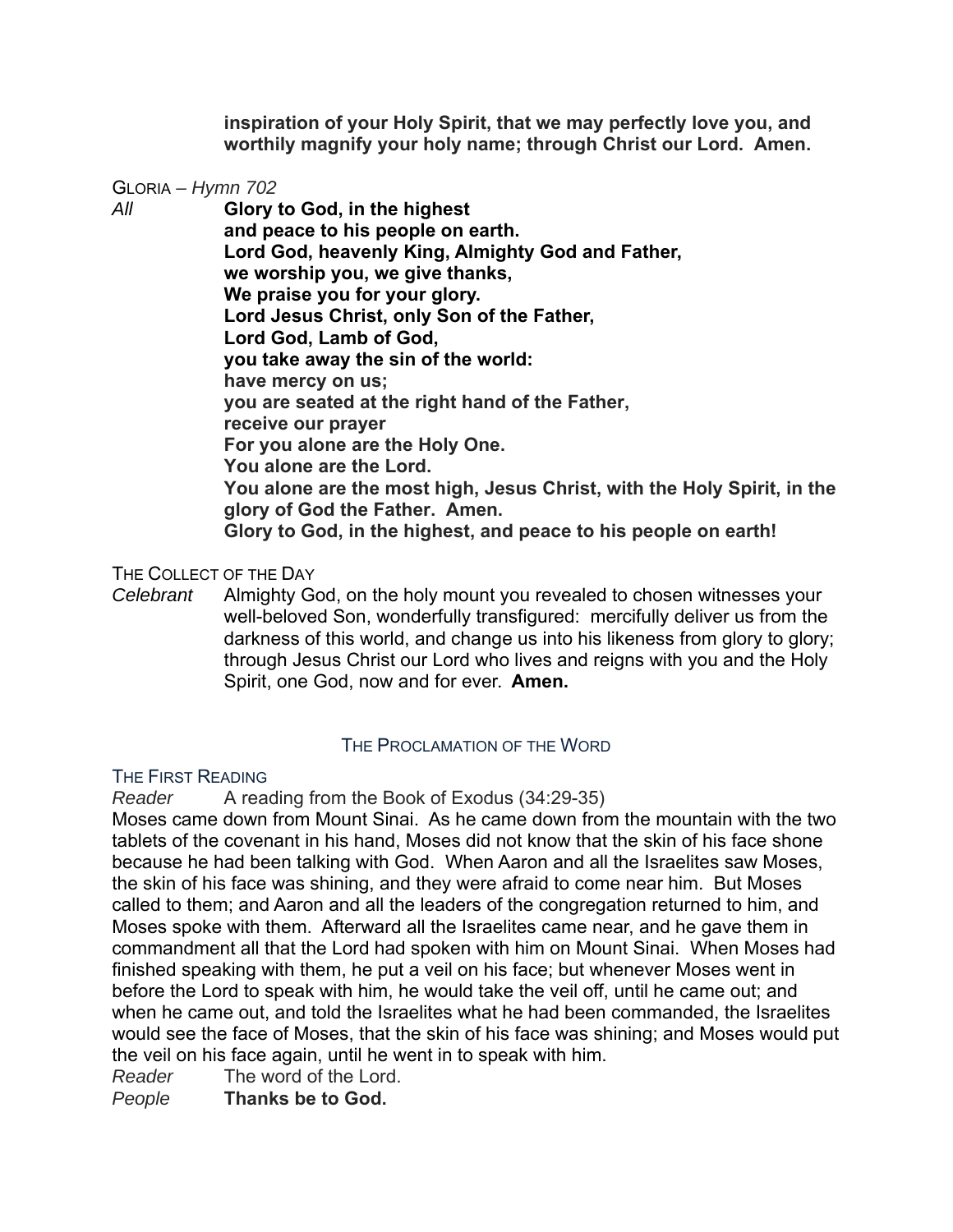**inspiration of your Holy Spirit, that we may perfectly love you, and worthily magnify your holy name; through Christ our Lord. Amen.** 

GLORIA *– Hymn 702* 

*All* **Glory to God, in the highest and peace to his people on earth. Lord God, heavenly King, Almighty God and Father, we worship you, we give thanks, We praise you for your glory. Lord Jesus Christ, only Son of the Father, Lord God, Lamb of God, you take away the sin of the world: have mercy on us; you are seated at the right hand of the Father, receive our prayer For you alone are the Holy One. You alone are the Lord. You alone are the most high, Jesus Christ, with the Holy Spirit, in the glory of God the Father. Amen. Glory to God, in the highest, and peace to his people on earth!** 

## THE COLLECT OF THE DAY

*Celebrant* Almighty God, on the holy mount you revealed to chosen witnesses your well-beloved Son, wonderfully transfigured: mercifully deliver us from the darkness of this world, and change us into his likeness from glory to glory; through Jesus Christ our Lord who lives and reigns with you and the Holy Spirit, one God, now and for ever. **Amen.**

#### THE PROCLAMATION OF THE WORD

## THE FIRST READING

*Reader* A reading from the Book of Exodus (34:29-35)

Moses came down from Mount Sinai. As he came down from the mountain with the two tablets of the covenant in his hand, Moses did not know that the skin of his face shone because he had been talking with God. When Aaron and all the Israelites saw Moses, the skin of his face was shining, and they were afraid to come near him. But Moses called to them; and Aaron and all the leaders of the congregation returned to him, and Moses spoke with them. Afterward all the Israelites came near, and he gave them in commandment all that the Lord had spoken with him on Mount Sinai. When Moses had finished speaking with them, he put a veil on his face; but whenever Moses went in before the Lord to speak with him, he would take the veil off, until he came out; and when he came out, and told the Israelites what he had been commanded, the Israelites would see the face of Moses, that the skin of his face was shining; and Moses would put the veil on his face again, until he went in to speak with him.

*Reader* The word of the Lord.

*People* **Thanks be to God.**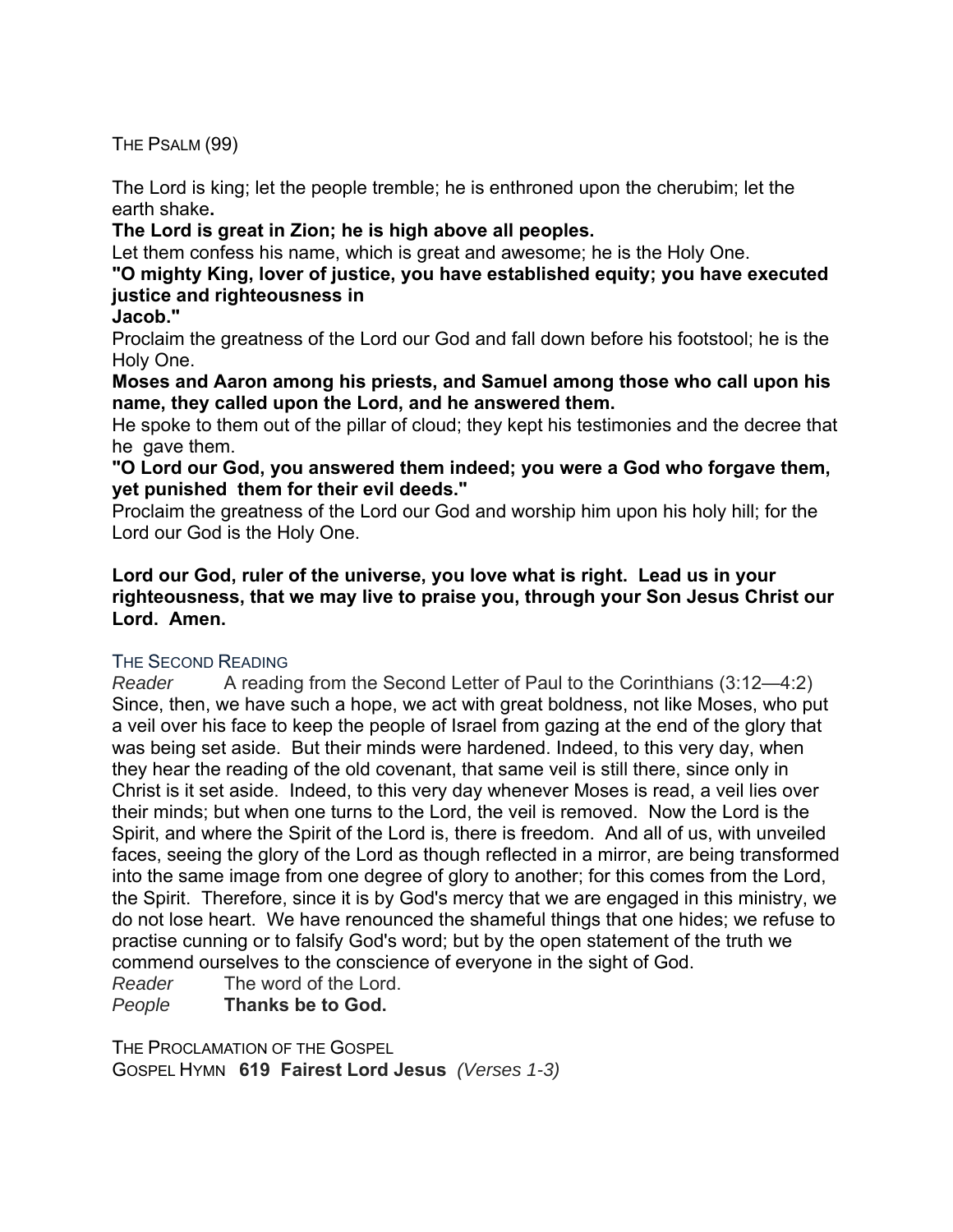THE PSALM (99)

The Lord is king; let the people tremble; he is enthroned upon the cherubim; let the earth shake**.** 

**The Lord is great in Zion; he is high above all peoples.** 

Let them confess his name, which is great and awesome; he is the Holy One.

# **"O mighty King, lover of justice, you have established equity; you have executed justice and righteousness in**

**Jacob."** 

Proclaim the greatness of the Lord our God and fall down before his footstool; he is the Holy One.

**Moses and Aaron among his priests, and Samuel among those who call upon his name, they called upon the Lord, and he answered them.** 

He spoke to them out of the pillar of cloud; they kept his testimonies and the decree that he gave them.

**"O Lord our God, you answered them indeed; you were a God who forgave them, yet punished them for their evil deeds."** 

Proclaim the greatness of the Lord our God and worship him upon his holy hill; for the Lord our God is the Holy One.

# **Lord our God, ruler of the universe, you love what is right. Lead us in your righteousness, that we may live to praise you, through your Son Jesus Christ our Lord. Amen.**

# THE SECOND READING

*Reader* A reading from the Second Letter of Paul to the Corinthians (3:12—4:2) Since, then, we have such a hope, we act with great boldness, not like Moses, who put a veil over his face to keep the people of Israel from gazing at the end of the glory that was being set aside. But their minds were hardened. Indeed, to this very day, when they hear the reading of the old covenant, that same veil is still there, since only in Christ is it set aside. Indeed, to this very day whenever Moses is read, a veil lies over their minds; but when one turns to the Lord, the veil is removed. Now the Lord is the Spirit, and where the Spirit of the Lord is, there is freedom. And all of us, with unveiled faces, seeing the glory of the Lord as though reflected in a mirror, are being transformed into the same image from one degree of glory to another; for this comes from the Lord, the Spirit. Therefore, since it is by God's mercy that we are engaged in this ministry, we do not lose heart. We have renounced the shameful things that one hides; we refuse to practise cunning or to falsify God's word; but by the open statement of the truth we commend ourselves to the conscience of everyone in the sight of God.

*Reader* The word of the Lord.

*People* **Thanks be to God.** 

THE PROCLAMATION OF THE GOSPEL GOSPEL HYMN **619 Fairest Lord Jesus** *(Verses 1-3)*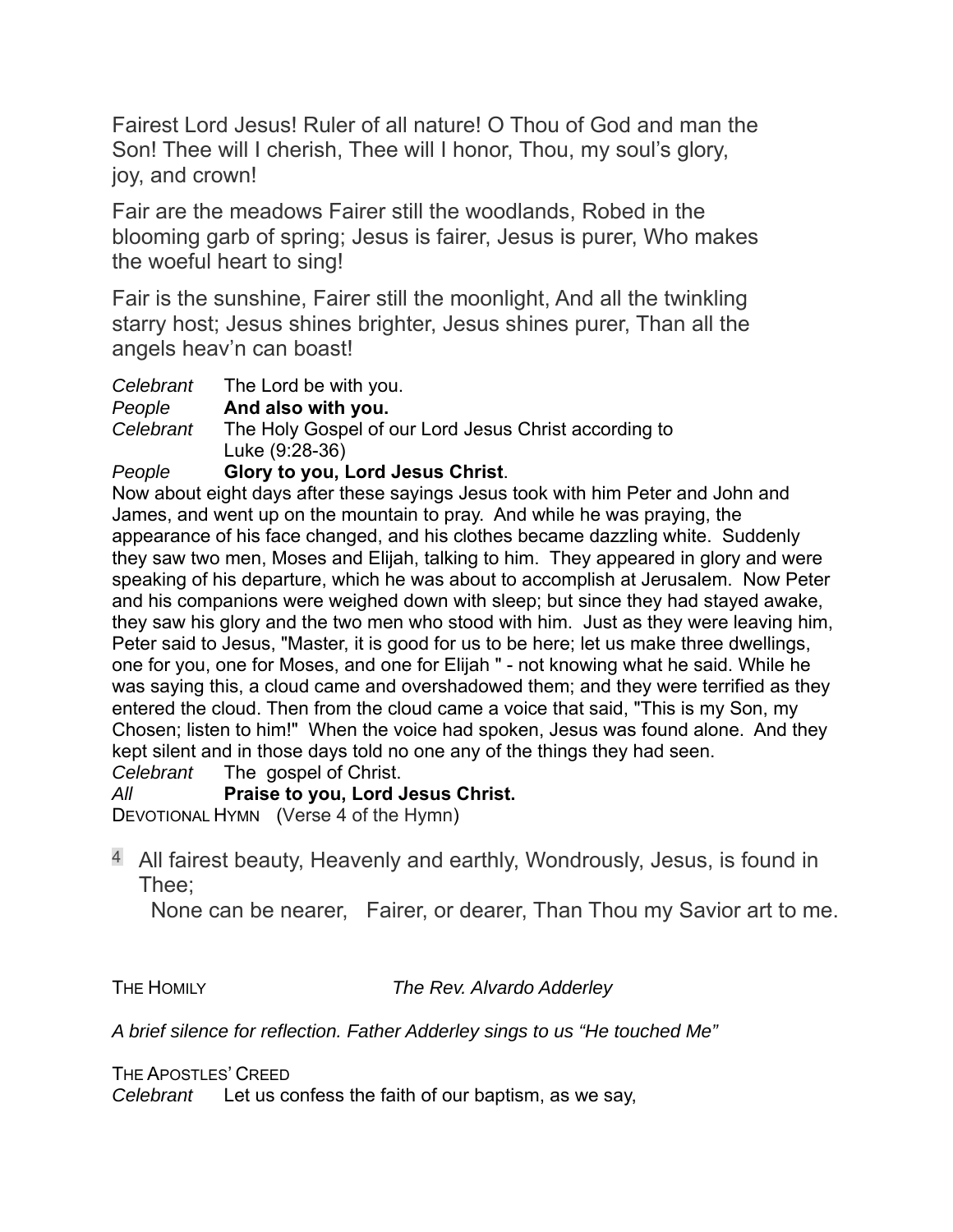Fairest Lord Jesus! Ruler of all nature! O Thou of God and man the Son! Thee will I cherish, Thee will I honor, Thou, my soul's glory, joy, and crown!

Fair are the meadows Fairer still the woodlands, Robed in the blooming garb of spring; Jesus is fairer, Jesus is purer, Who makes the woeful heart to sing!

Fair is the sunshine, Fairer still the moonlight, And all the twinkling starry host; Jesus shines brighter, Jesus shines purer, Than all the angels heav'n can boast!

*Celebrant* The Lord be with you. *People* **And also with you.** *Celebrant* The Holy Gospel of our Lord Jesus Christ according to Luke (9:28-36) *People* **Glory to you, Lord Jesus Christ**.

Now about eight days after these sayings Jesus took with him Peter and John and James, and went up on the mountain to pray. And while he was praying, the appearance of his face changed, and his clothes became dazzling white. Suddenly they saw two men, Moses and Elijah, talking to him. They appeared in glory and were speaking of his departure, which he was about to accomplish at Jerusalem. Now Peter and his companions were weighed down with sleep; but since they had stayed awake, they saw his glory and the two men who stood with him. Just as they were leaving him, Peter said to Jesus, "Master, it is good for us to be here; let us make three dwellings, one for you, one for Moses, and one for Elijah " - not knowing what he said. While he was saying this, a cloud came and overshadowed them; and they were terrified as they entered the cloud. Then from the cloud came a voice that said, "This is my Son, my Chosen; listen to him!" When the voice had spoken, Jesus was found alone. And they kept silent and in those days told no one any of the things they had seen.

*Celebrant* The gospel of Christ.

# *All* **Praise to you, Lord Jesus Christ.**

DEVOTIONAL HYMN (Verse 4 of the Hymn)

4 All fairest beauty, Heavenly and earthly, Wondrously, Jesus, is found in Thee;

None can be nearer, Fairer, or dearer, Than Thou my Savior art to me.

THE HOMILY*The Rev. Alvardo Adderley* 

*A brief silence for reflection. Father Adderley sings to us "He touched Me"* 

THE APOSTLES' CREED

*Celebrant* Let us confess the faith of our baptism, as we say,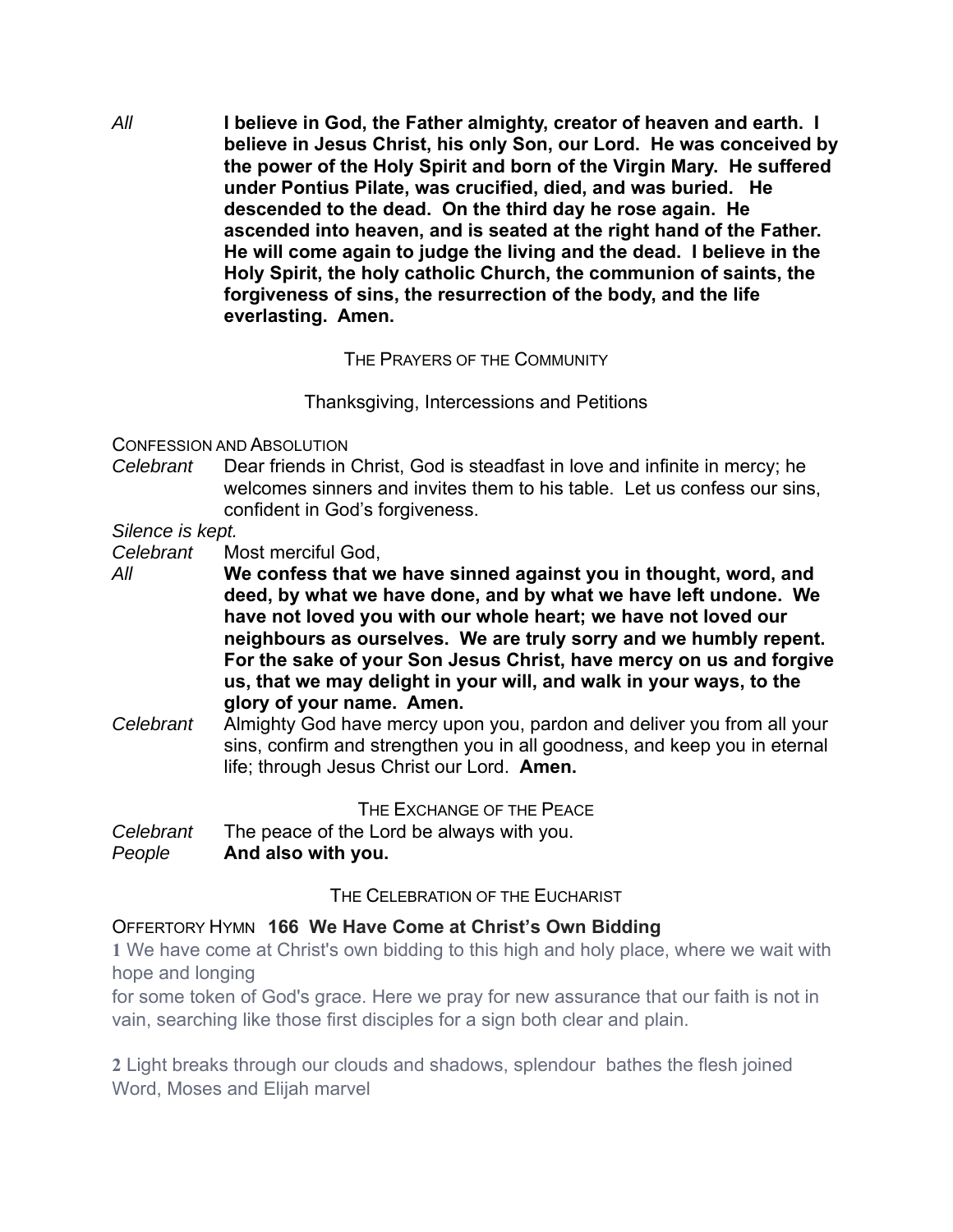*All* **I believe in God, the Father almighty, creator of heaven and earth. I believe in Jesus Christ, his only Son, our Lord. He was conceived by the power of the Holy Spirit and born of the Virgin Mary. He suffered under Pontius Pilate, was crucified, died, and was buried. He descended to the dead. On the third day he rose again. He ascended into heaven, and is seated at the right hand of the Father. He will come again to judge the living and the dead. I believe in the Holy Spirit, the holy catholic Church, the communion of saints, the forgiveness of sins, the resurrection of the body, and the life everlasting. Amen.** 

THE PRAYERS OF THE COMMUNITY

Thanksgiving, Intercessions and Petitions

CONFESSION AND ABSOLUTION

*Celebrant* Dear friends in Christ, God is steadfast in love and infinite in mercy; he welcomes sinners and invites them to his table. Let us confess our sins, confident in God's forgiveness.

## *Silence is kept.*

*Celebrant* Most merciful God,

- *All* **We confess that we have sinned against you in thought, word, and deed, by what we have done, and by what we have left undone. We have not loved you with our whole heart; we have not loved our neighbours as ourselves. We are truly sorry and we humbly repent. For the sake of your Son Jesus Christ, have mercy on us and forgive us, that we may delight in your will, and walk in your ways, to the glory of your name. Amen.**
- *Celebrant* Almighty God have mercy upon you, pardon and deliver you from all your sins, confirm and strengthen you in all goodness, and keep you in eternal life; through Jesus Christ our Lord. **Amen.**

THE EXCHANGE OF THE PEACE

- *Celebrant* The peace of the Lord be always with you.
- *People* **And also with you.**

THE CELEBRATION OF THE FUCHARIST

OFFERTORY HYMN **166 We Have Come at Christ's Own Bidding** 

**1** We have come at Christ's own bidding to this high and holy place, where we wait with hope and longing

for some token of God's grace. Here we pray for new assurance that our faith is not in vain, searching like those first disciples for a sign both clear and plain.

**2** Light breaks through our clouds and shadows, splendour bathes the flesh joined Word, Moses and Elijah marvel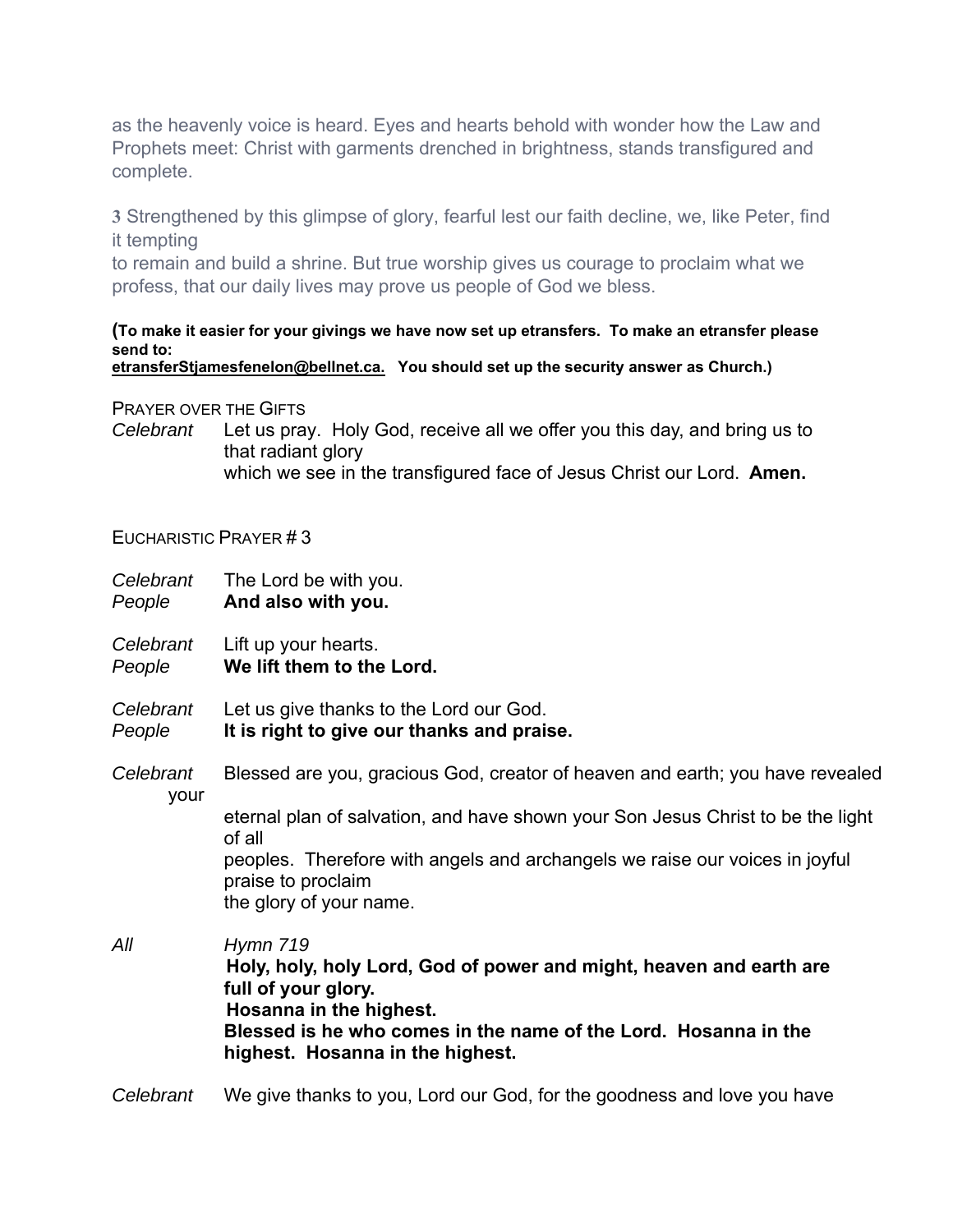as the heavenly voice is heard. Eyes and hearts behold with wonder how the Law and Prophets meet: Christ with garments drenched in brightness, stands transfigured and complete.

**3** Strengthened by this glimpse of glory, fearful lest our faith decline, we, like Peter, find it tempting

to remain and build a shrine. But true worship gives us courage to proclaim what we profess, that our daily lives may prove us people of God we bless.

**(To make it easier for your givings we have now set up etransfers. To make an etransfer please send to:** 

**etransferStjamesfenelon@bellnet.ca. You should set up the security answer as Church.)**

PRAYER OVER THE GIFTS

*Celebrant* Let us pray. Holy God, receive all we offer you this day, and bring us to that radiant glory which we see in the transfigured face of Jesus Christ our Lord. **Amen.**

EUCHARISTIC PRAYER # 3

| Celebrant | The Lord be with you. |
|-----------|-----------------------|
| People    | And also with you.    |

*Celebrant* Lift up your hearts. *People* **We lift them to the Lord.** 

*Celebrant* Let us give thanks to the Lord our God.

- *People* **It is right to give our thanks and praise.**
- *Celebrant* Blessed are you, gracious God, creator of heaven and earth; you have revealed your eternal plan of salvation, and have shown your Son Jesus Christ to be the light

of all peoples. Therefore with angels and archangels we raise our voices in joyful praise to proclaim the glory of your name.

*All Hymn 719* **Holy, holy, holy Lord, God of power and might, heaven and earth are full of your glory. Hosanna in the highest. Blessed is he who comes in the name of the Lord. Hosanna in the highest. Hosanna in the highest.** 

*Celebrant* We give thanks to you, Lord our God, for the goodness and love you have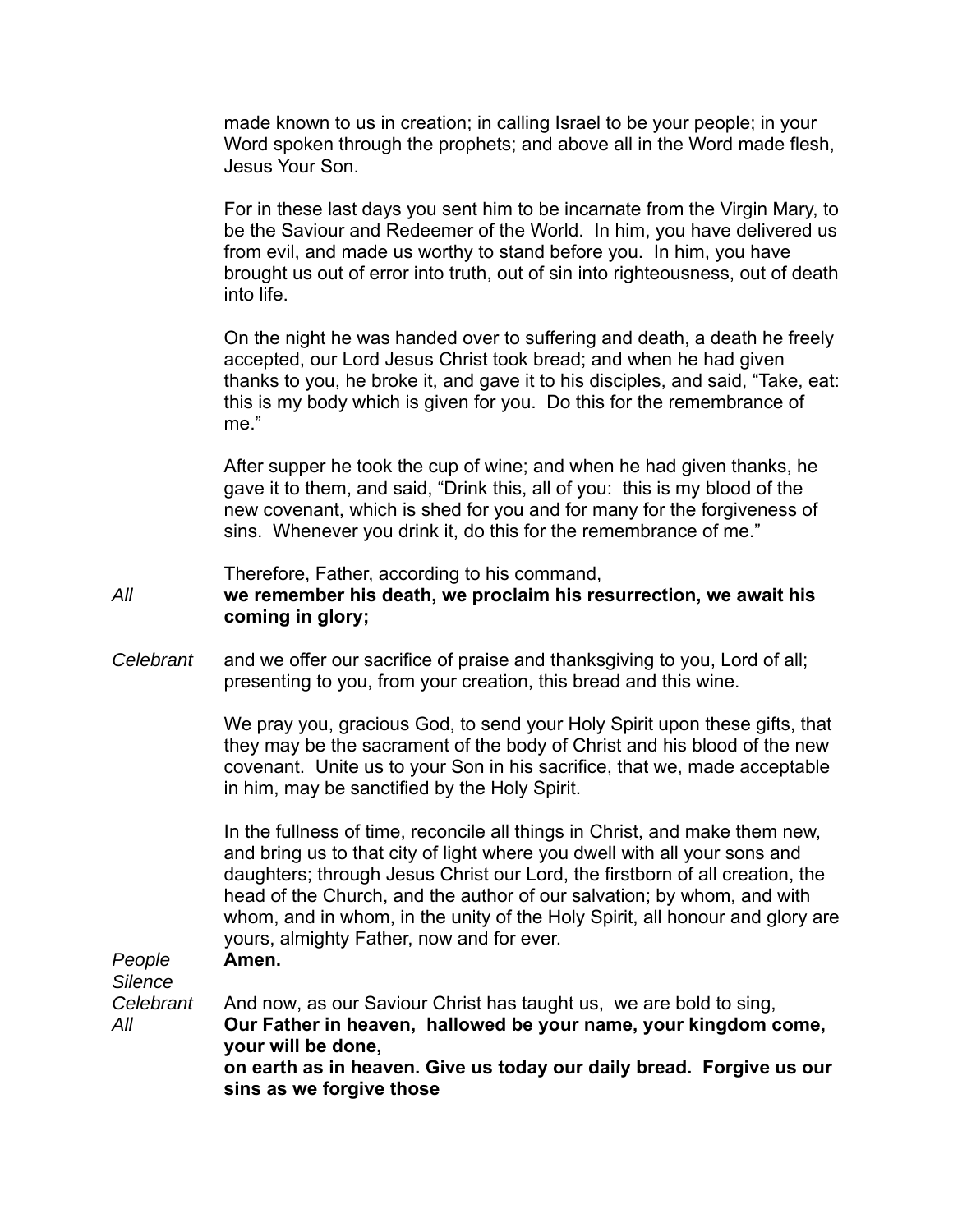made known to us in creation; in calling Israel to be your people; in your Word spoken through the prophets; and above all in the Word made flesh, Jesus Your Son.

For in these last days you sent him to be incarnate from the Virgin Mary, to be the Saviour and Redeemer of the World. In him, you have delivered us from evil, and made us worthy to stand before you. In him, you have brought us out of error into truth, out of sin into righteousness, out of death into life.

On the night he was handed over to suffering and death, a death he freely accepted, our Lord Jesus Christ took bread; and when he had given thanks to you, he broke it, and gave it to his disciples, and said, "Take, eat: this is my body which is given for you. Do this for the remembrance of me."

After supper he took the cup of wine; and when he had given thanks, he gave it to them, and said, "Drink this, all of you: this is my blood of the new covenant, which is shed for you and for many for the forgiveness of sins. Whenever you drink it, do this for the remembrance of me."

Therefore, Father, according to his command,

*All* **we remember his death, we proclaim his resurrection, we await his coming in glory;** 

*Celebrant* and we offer our sacrifice of praise and thanksgiving to you, Lord of all; presenting to you, from your creation, this bread and this wine.

> We pray you, gracious God, to send your Holy Spirit upon these gifts, that they may be the sacrament of the body of Christ and his blood of the new covenant. Unite us to your Son in his sacrifice, that we, made acceptable in him, may be sanctified by the Holy Spirit.

> In the fullness of time, reconcile all things in Christ, and make them new, and bring us to that city of light where you dwell with all your sons and daughters; through Jesus Christ our Lord, the firstborn of all creation, the head of the Church, and the author of our salvation; by whom, and with whom, and in whom, in the unity of the Holy Spirit, all honour and glory are yours, almighty Father, now and for ever.

*People* **Amen.** *Silence* 

*Celebrant* And now, as our Saviour Christ has taught us, we are bold to sing, *All* **Our Father in heaven, hallowed be your name, your kingdom come, your will be done, on earth as in heaven. Give us today our daily bread. Forgive us our** 

**sins as we forgive those**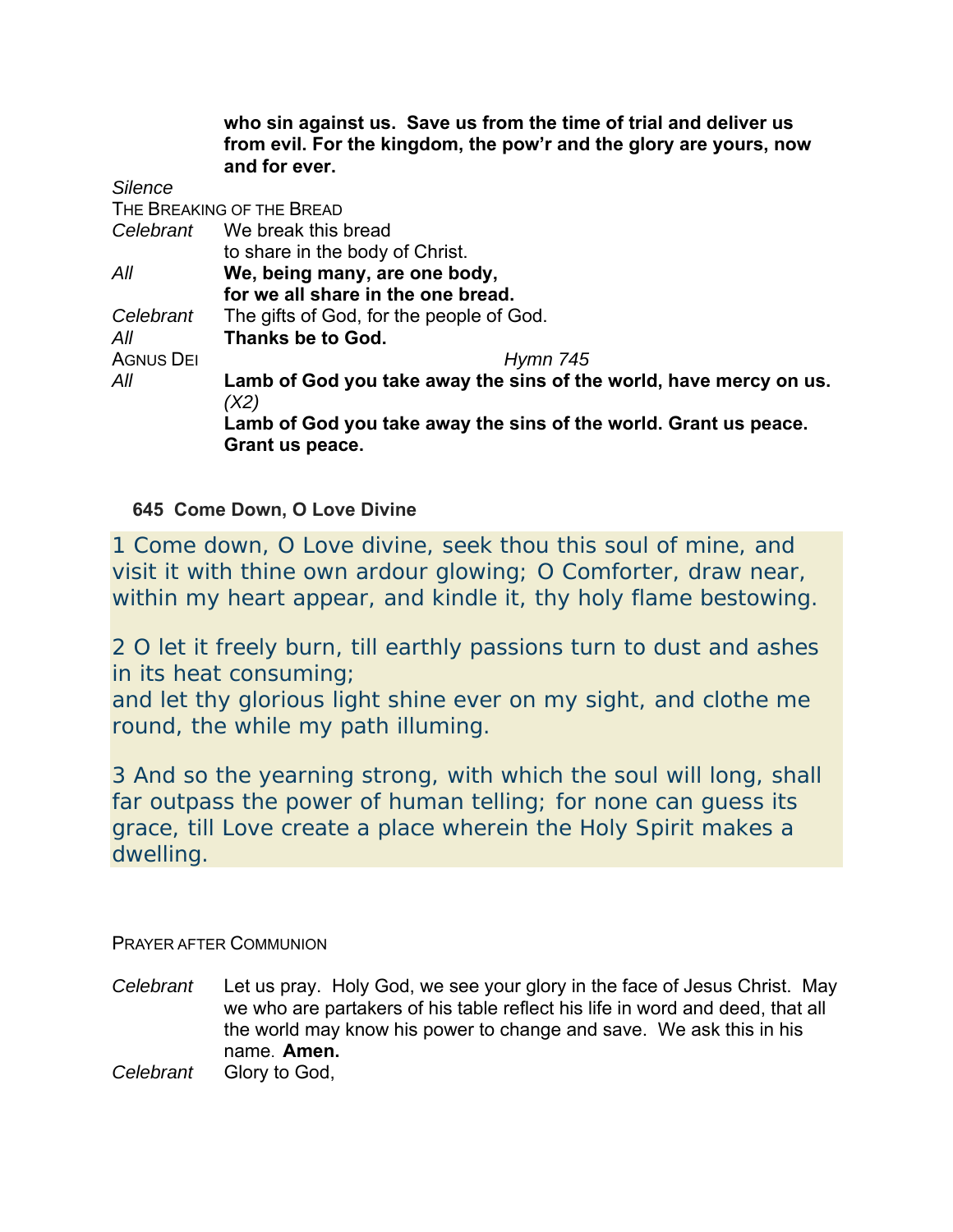**who sin against us. Save us from the time of trial and deliver us from evil. For the kingdom, the pow'r and the glory are yours, now and for ever.** 

*Silence*  THE BREAKING OF THE BREAD *Celebrant* We break this bread to share in the body of Christ. *All* **We, being many, are one body, for we all share in the one bread.**  *Celebrant* The gifts of God, for the people of God. *All* **Thanks be to God.**  AGNUS DEI *Hymn 745 All* **Lamb of God you take away the sins of the world, have mercy on us.** *(X2)* **Lamb of God you take away the sins of the world. Grant us peace. Grant us peace.** 

# **645 Come Down, O Love Divine**

1 Come down, O Love divine, seek thou this soul of mine, and visit it with thine own ardour glowing; O Comforter, draw near, within my heart appear, and kindle it, thy holy flame bestowing.

2 O let it freely burn, till earthly passions turn to dust and ashes in its heat consuming;

and let thy glorious light shine ever on my sight, and clothe me round, the while my path illuming.

3 And so the yearning strong, with which the soul will long, shall far outpass the power of human telling; for none can guess its grace, till Love create a place wherein the Holy Spirit makes a dwelling.

#### PRAYER AFTER COMMUNION

*Celebrant* Let us pray. Holy God, we see your glory in the face of Jesus Christ. May we who are partakers of his table reflect his life in word and deed, that all the world may know his power to change and save. We ask this in his name. **Amen.** 

*Celebrant* Glory to God,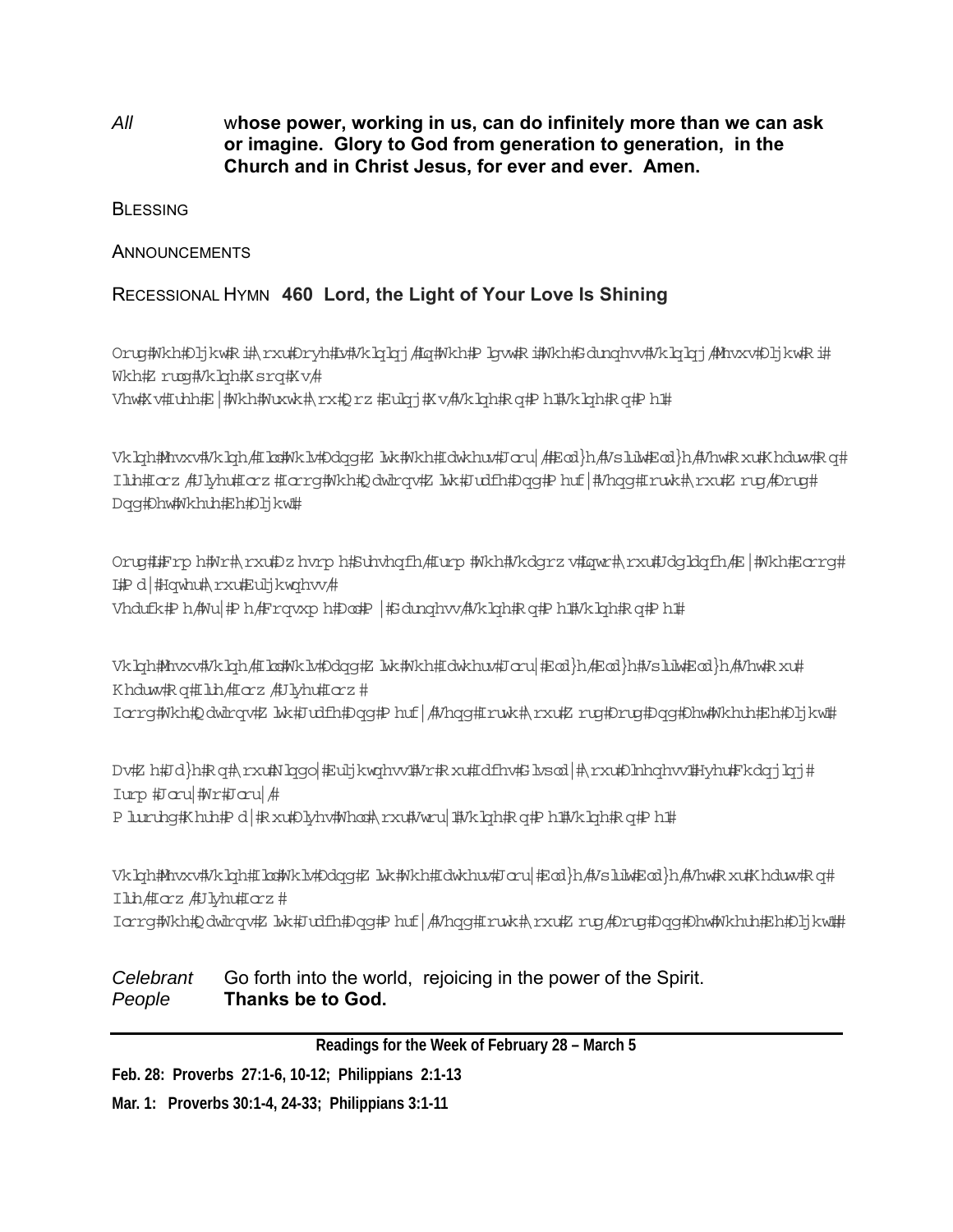# *All* w**hose power, working in us, can do infinitely more than we can ask or imagine. Glory to God from generation to generation, in the Church and in Christ Jesus, for ever and ever. Amen.**

**BLESSING** 

**ANNOUNCEMENTS** 

# RECESSIONAL HYMN **460 Lord, the Light of Your Love Is Shining**

Orug#Nkh#Dljkw#Ri#\rxu#Dryh#Ly#Jklog|qj#Gq#Nkh#Plogw#RkH#Bdunghvv#Jklog|qj#Mnvxv#Dljkw#Ri# Wkhp rugt K oh K srq K v # Vhw极v#luhh# | #Wkh#Wuxwk#\rx#Qrz #Eulqj#Kv#Wklqh#Rq#P h#/klqh#Rq#P h#

Vklqh#Muxv#Vklqh#Loo#Vklv#Odqg#Z lwk#Wkh#Lowkhuv#Joru| #Ead}h#Vslulw#Ead}h#Vhw#Rxu#Khduw#Rq# Tlih#Iorz #Jlyhu#Iorz #Iorrq#Wkh#Qdwltoqv#Z lwk#Judfh#Dqqq#P huf | #Mnqq#Iruwk#\rxu#Zruq#Druq# Dgg#Ohw#Wkhuh#Eh#Oljkw#

Orug##Frp h#Vr#\rxu#Dz hvrp h#Suhvhgfh#Lurp #Wkh#Vkdgrzv#Iqwr#\rxu#Jdg1dgfh#E|#Wkh#Eorrg# IP d | Howhut Arxut Eulikwohw # Vhdufk# h, #Nu| # h, #Frqvxp h#Doo# | #Gdunghvv, #Nk Lgh#R q#P h# eq#P h#

Vklqh#Ynvxv#Vklqh#Llad#Vklv#Ddqg#Zllwk#Mkh#Ldwkhuv#Jaru|#2od}h#Eod}h#Vsllub#Eod}h#Vhw#Rxu# Khduw 宋q # lh # a z # Jyhu # a z # Torra: When the Nations W ith M had M ith M error W ith Andrew W w ith Grand M it Nord And Lord And Lord And L

Dv# h#Jd}h#Q#\rxu#Jlqqo|#ulikwghvv#/r#kxu#dfhv#Blvsod|#\rxu#Dhhqhvv#Hyhu#Fkdqjlqj# Turp #Jaru | 揪r#Jaru | # P lurchq#K huh#P d | #R xu#D ly hv#W hoo#\ rxu#Vwru | #W k lon hR q #P h # H ar M e. H ar M e. H ar M e. Shine O

Vk. Igh.#Moxx+#7k. Igh#I. Iq#Nk. Iv#Ddgq#Z Iwk:#Wkh#Idwkhuv#Joru| #Ead }h.#Ns Julw#Ead }h.#Mhw#Rxu#Khduw#Rq# Ilh # arz #Jkhu # arz # Torrg: W khtp dwirqv# Ink# udfh#Dqq# huf | AN hqq# ruk# rxu# ruq AD ruq#Dqq#Dhw#N khuh#Eh#Dhj kw##

# *Celebrant* Go forth into the world, rejoicing in the power of the Spirit. *People* **Thanks be to God.**

**Readings for the Week of February 28 – March 5** 

**Feb. 28: Proverbs 27:1-6, 10-12; Philippians 2:1-13** 

**Mar. 1: Proverbs 30:1-4, 24-33; Philippians 3:1-11**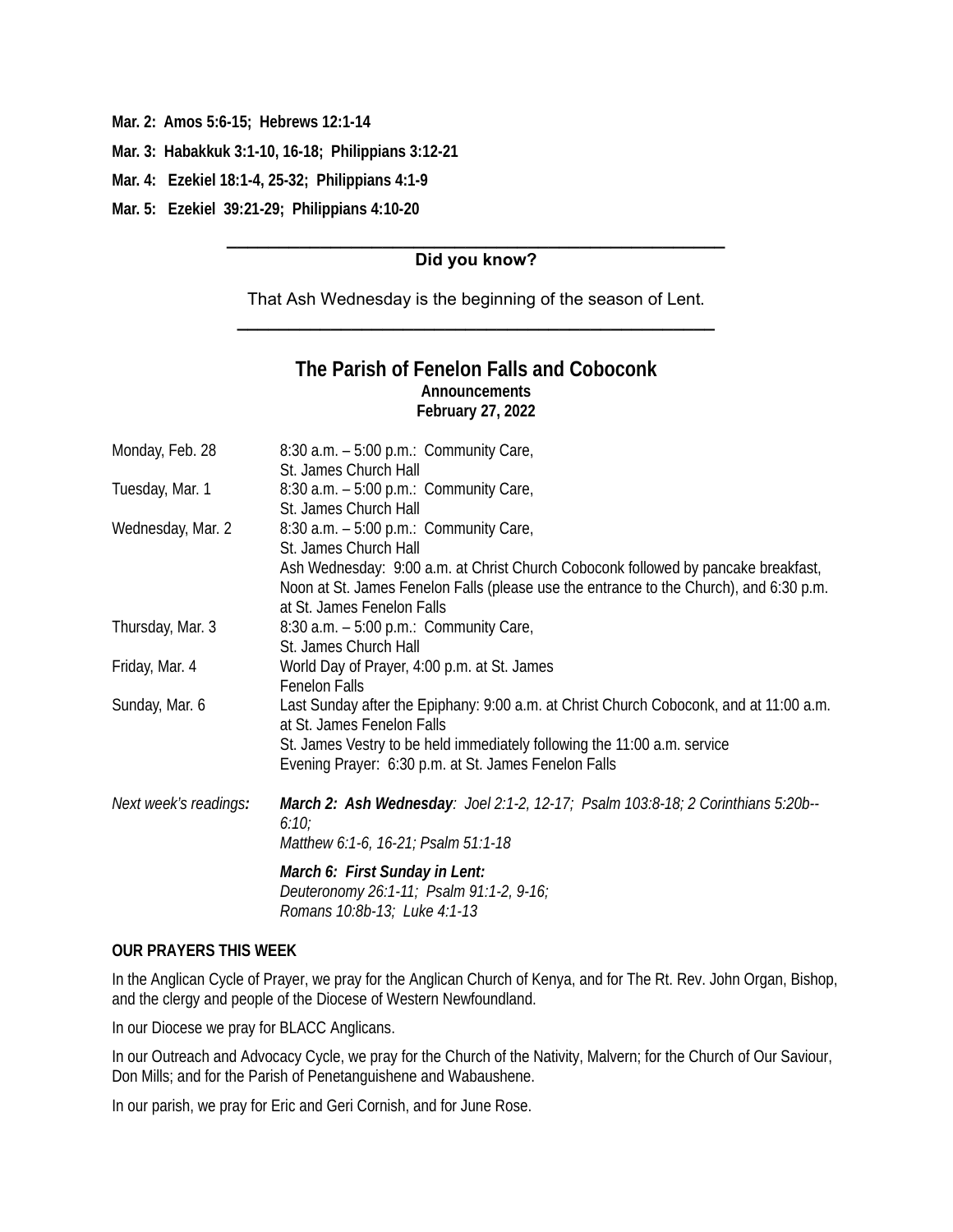- **Mar. 2: Amos 5:6-15; Hebrews 12:1-14**
- **Mar. 3: Habakkuk 3:1-10, 16-18; Philippians 3:12-21**
- **Mar. 4: Ezekiel 18:1-4, 25-32; Philippians 4:1-9**
- **Mar. 5: Ezekiel 39:21-29; Philippians 4:10-20**

#### **\_\_\_\_\_\_\_\_\_\_\_\_\_\_\_\_\_\_\_\_\_\_\_\_\_\_\_\_\_\_\_\_\_\_\_\_\_\_\_\_\_\_\_\_\_\_\_\_ Did you know?**

That Ash Wednesday is the beginning of the season of Lent. **\_\_\_\_\_\_\_\_\_\_\_\_\_\_\_\_\_\_\_\_\_\_\_\_\_\_\_\_\_\_\_\_\_\_\_\_\_\_\_\_\_\_\_\_\_\_**

## **The Parish of Fenelon Falls and Coboconk Announcements February 27, 2022**

| Monday, Feb. 28       | 8:30 a.m. $-5:00$ p.m.: Community Care,<br>St. James Church Hall                                                     |
|-----------------------|----------------------------------------------------------------------------------------------------------------------|
| Tuesday, Mar. 1       | 8:30 a.m. - 5:00 p.m.: Community Care,                                                                               |
|                       | St. James Church Hall                                                                                                |
| Wednesday, Mar. 2     | 8:30 a.m. - 5:00 p.m.: Community Care,                                                                               |
|                       | St. James Church Hall                                                                                                |
|                       | Ash Wednesday: 9:00 a.m. at Christ Church Coboconk followed by pancake breakfast,                                    |
|                       | Noon at St. James Fenelon Falls (please use the entrance to the Church), and 6:30 p.m.                               |
|                       | at St. James Fenelon Falls                                                                                           |
| Thursday, Mar. 3      | 8:30 a.m. - 5:00 p.m.: Community Care,                                                                               |
|                       | St. James Church Hall                                                                                                |
| Friday, Mar. 4        | World Day of Prayer, 4:00 p.m. at St. James                                                                          |
|                       | <b>Fenelon Falls</b>                                                                                                 |
| Sunday, Mar. 6        | Last Sunday after the Epiphany: 9:00 a.m. at Christ Church Coboconk, and at 11:00 a.m.<br>at St. James Fenelon Falls |
|                       | St. James Vestry to be held immediately following the 11:00 a.m. service                                             |
|                       | Evening Prayer: 6:30 p.m. at St. James Fenelon Falls                                                                 |
| Next week's readings: | March 2: Ash Wednesday: Joel 2:1-2, 12-17; Psalm 103:8-18; 2 Corinthians 5:20b--<br>$6:10^{\circ}$                   |
|                       | Matthew 6:1-6, 16-21; Psalm 51:1-18                                                                                  |
|                       | March 6: First Sunday in Lent:                                                                                       |
|                       | Deuteronomy 26:1-11; Psalm 91:1-2, 9-16;                                                                             |
|                       | Romans 10:8b-13; Luke 4:1-13                                                                                         |

#### **OUR PRAYERS THIS WEEK**

In the Anglican Cycle of Prayer, we pray for the Anglican Church of Kenya, and for The Rt. Rev. John Organ, Bishop, and the clergy and people of the Diocese of Western Newfoundland.

In our Diocese we pray for BLACC Anglicans.

In our Outreach and Advocacy Cycle, we pray for the Church of the Nativity, Malvern; for the Church of Our Saviour, Don Mills; and for the Parish of Penetanguishene and Wabaushene.

In our parish, we pray for Eric and Geri Cornish, and for June Rose.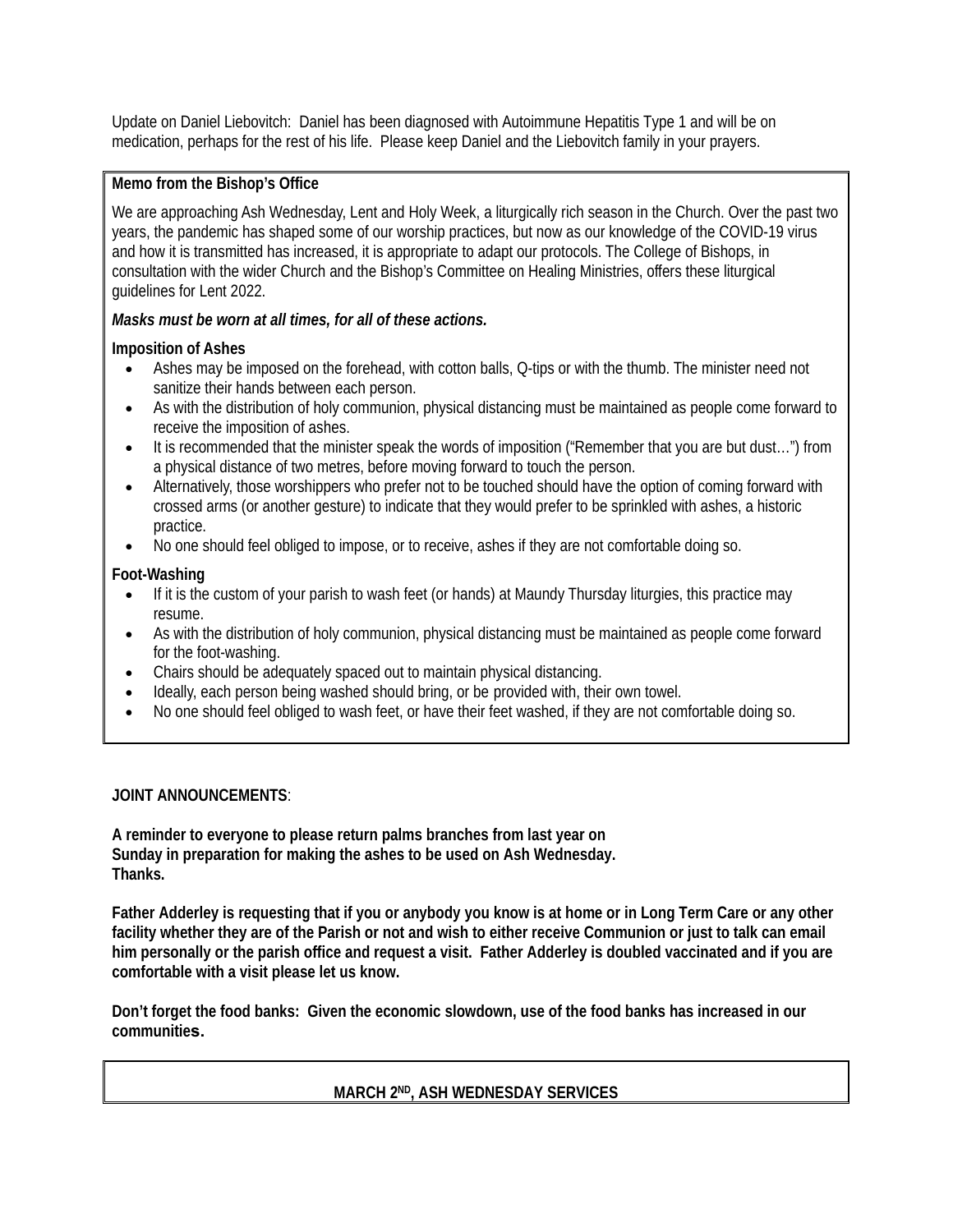Update on Daniel Liebovitch: Daniel has been diagnosed with Autoimmune Hepatitis Type 1 and will be on medication, perhaps for the rest of his life. Please keep Daniel and the Liebovitch family in your prayers.

#### **Memo from the Bishop's Office**

We are approaching Ash Wednesday, Lent and Holy Week, a liturgically rich season in the Church. Over the past two years, the pandemic has shaped some of our worship practices, but now as our knowledge of the COVID-19 virus and how it is transmitted has increased, it is appropriate to adapt our protocols. The College of Bishops, in consultation with the wider Church and the Bishop's Committee on Healing Ministries, offers these liturgical guidelines for Lent 2022.

## *Masks must be worn at all times, for all of these actions.*

#### **Imposition of Ashes**

- Ashes may be imposed on the forehead, with cotton balls, Q-tips or with the thumb. The minister need not sanitize their hands between each person.
- As with the distribution of holy communion, physical distancing must be maintained as people come forward to receive the imposition of ashes.
- It is recommended that the minister speak the words of imposition ("Remember that you are but dust…") from a physical distance of two metres, before moving forward to touch the person.
- Alternatively, those worshippers who prefer not to be touched should have the option of coming forward with crossed arms (or another gesture) to indicate that they would prefer to be sprinkled with ashes, a historic practice.
- No one should feel obliged to impose, or to receive, ashes if they are not comfortable doing so.

## **Foot-Washing**

- If it is the custom of your parish to wash feet (or hands) at Maundy Thursday liturgies, this practice may resume.
- As with the distribution of holy communion, physical distancing must be maintained as people come forward for the foot-washing.
- Chairs should be adequately spaced out to maintain physical distancing.
- Ideally, each person being washed should bring, or be provided with, their own towel.
- No one should feel obliged to wash feet, or have their feet washed, if they are not comfortable doing so.

#### **JOINT ANNOUNCEMENTS**:

**A reminder to everyone to please return palms branches from last year on Sunday in preparation for making the ashes to be used on Ash Wednesday. Thanks.** 

**Father Adderley is requesting that if you or anybody you know is at home or in Long Term Care or any other facility whether they are of the Parish or not and wish to either receive Communion or just to talk can email him personally or the parish office and request a visit. Father Adderley is doubled vaccinated and if you are comfortable with a visit please let us know.** 

**Don't forget the food banks: Given the economic slowdown, use of the food banks has increased in our communities.** 

#### **MARCH 2ND, ASH WEDNESDAY SERVICES**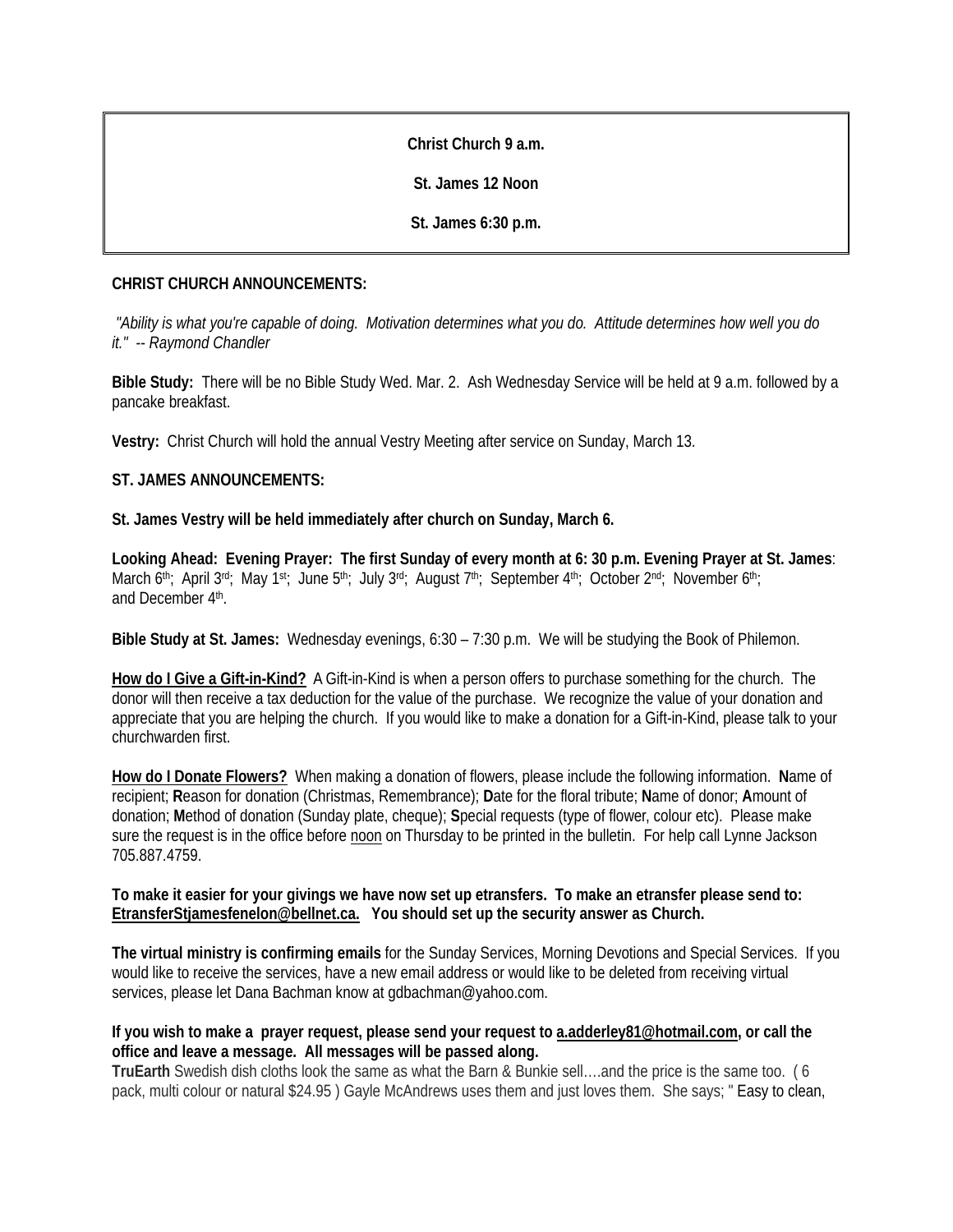**Christ Church 9 a.m.** 

**St. James 12 Noon** 

**St. James 6:30 p.m.** 

#### **CHRIST CHURCH ANNOUNCEMENTS:**

 *"Ability is what you're capable of doing. Motivation determines what you do. Attitude determines how well you do it." -- Raymond Chandler* 

**Bible Study:** There will be no Bible Study Wed. Mar. 2. Ash Wednesday Service will be held at 9 a.m. followed by a pancake breakfast.

**Vestry:** Christ Church will hold the annual Vestry Meeting after service on Sunday, March 13.

#### **ST. JAMES ANNOUNCEMENTS:**

**St. James Vestry will be held immediately after church on Sunday, March 6.**

**Looking Ahead: Evening Prayer: The first Sunday of every month at 6: 30 p.m. Evening Prayer at St. James**: March 6th; April 3rd; May 1st; June 5th; July 3rd; August 7th; September 4th; October 2nd; November 6th; and December 4<sup>th</sup>.

**Bible Study at St. James:** Wednesday evenings, 6:30 – 7:30 p.m. We will be studying the Book of Philemon.

**How do I Give a Gift-in-Kind?** A Gift-in-Kind is when a person offers to purchase something for the church. The donor will then receive a tax deduction for the value of the purchase. We recognize the value of your donation and appreciate that you are helping the church. If you would like to make a donation for a Gift-in-Kind, please talk to your churchwarden first.

**How do I Donate Flowers?** When making a donation of flowers, please include the following information. **N**ame of recipient; **R**eason for donation (Christmas, Remembrance); **D**ate for the floral tribute; **N**ame of donor; **A**mount of donation; **M**ethod of donation (Sunday plate, cheque); **S**pecial requests (type of flower, colour etc). Please make sure the request is in the office before noon on Thursday to be printed in the bulletin. For help call Lynne Jackson 705.887.4759.

#### **To make it easier for your givings we have now set up etransfers. To make an etransfer please send to: EtransferStjamesfenelon@bellnet.ca. You should set up the security answer as Church.**

**The virtual ministry is confirming emails** for the Sunday Services, Morning Devotions and Special Services. If you would like to receive the services, have a new email address or would like to be deleted from receiving virtual services, please let Dana Bachman know at gdbachman@yahoo.com.

#### **If you wish to make a prayer request, please send your request to a.adderley81@hotmail.com, or call the office and leave a message. All messages will be passed along.**

**TruEarth** Swedish dish cloths look the same as what the Barn & Bunkie sell….and the price is the same too. ( 6 pack, multi colour or natural \$24.95 ) Gayle McAndrews uses them and just loves them. She says; " Easy to clean,